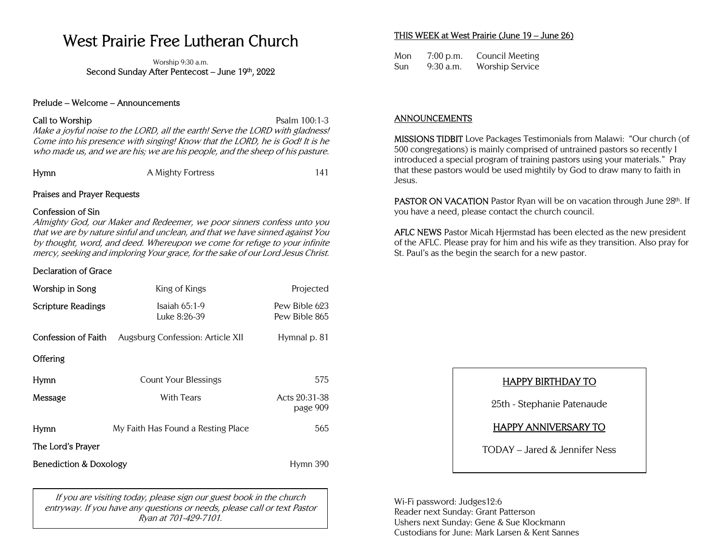# West Prairie Free Lutheran Church

Worship 9:30 a.m. Second Sunday After Pentecost – June 19th, 2022

#### Prelude – Welcome – Announcements

#### Call to Worship **Psalm 100:1-3**

Make a joyful noise to the LORD, all the earth! Serve the LORD with gladness! Come into his presence with singing! Know that the LORD, he is God! It is he who made us, and we are his; we are his people, and the sheep of his pasture.

| Hymn | A Mighty Fortress |  |
|------|-------------------|--|

## Praises and Prayer Requests

### Confession of Sin

Almighty God, our Maker and Redeemer, we poor sinners confess unto you that we are by nature sinful and unclean, and that we have sinned against You by thought, word, and deed. Whereupon we come for refuge to your infinite mercy, seeking and imploring Your grace, for the sake of our Lord Jesus Christ.

## Declaration of Grace

| Worship in Song                   | King of Kings                      | Projected                      |
|-----------------------------------|------------------------------------|--------------------------------|
| <b>Scripture Readings</b>         | Isaiah $65:1-9$<br>Luke 8:26-39    | Pew Bible 623<br>Pew Bible 865 |
| Confession of Faith               | Augsburg Confession: Article XII   | Hymnal p. 81                   |
| <b>Offering</b>                   |                                    |                                |
| Hymn                              | Count Your Blessings               | 575                            |
| Message                           | With Tears                         | Acts 20:31-38<br>page 909      |
| Hymn                              | My Faith Has Found a Resting Place | 565                            |
| The Lord's Prayer                 |                                    |                                |
| <b>Benediction &amp; Doxology</b> |                                    | Hymn 390                       |

If you are visiting today, please sign our guest book in the church entryway. If you have any questions or needs, please call or text Pastor Ryan at 701-429-7101.

## THIS WEEK at West Prairie (June 19 – June 26)

Mon 7:00 p.m. Council Meeting Sun 9:30 a.m. Worship Service

## ANNOUNCEMENTS

MISSIONS TIDBIT Love Packages Testimonials from Malawi: "Our church (of 500 congregations) is mainly comprised of untrained pastors so recently I introduced a special program of training pastors using your materials." Pray that these pastors would be used mightily by God to draw many to faith in Jesus.

PASTOR ON VACATION Pastor Ryan will be on vacation through June 28th. If you have a need, please contact the church council.

AFLC NEWS Pastor Micah Hjermstad has been elected as the new president of the AFLC. Please pray for him and his wife as they transition. Also pray for St. Paul's as the begin the search for a new pastor.

## HAPPY BIRTHDAY TO

25th - Stephanie Patenaude

## HAPPY ANNIVERSARY TO

TODAY – Jared & Jennifer Ness

Wi-Fi password: Judges12:6 Reader next Sunday: Grant Patterson Ushers next Sunday: Gene & Sue Klockmann Custodians for June: Mark Larsen & Kent Sannes